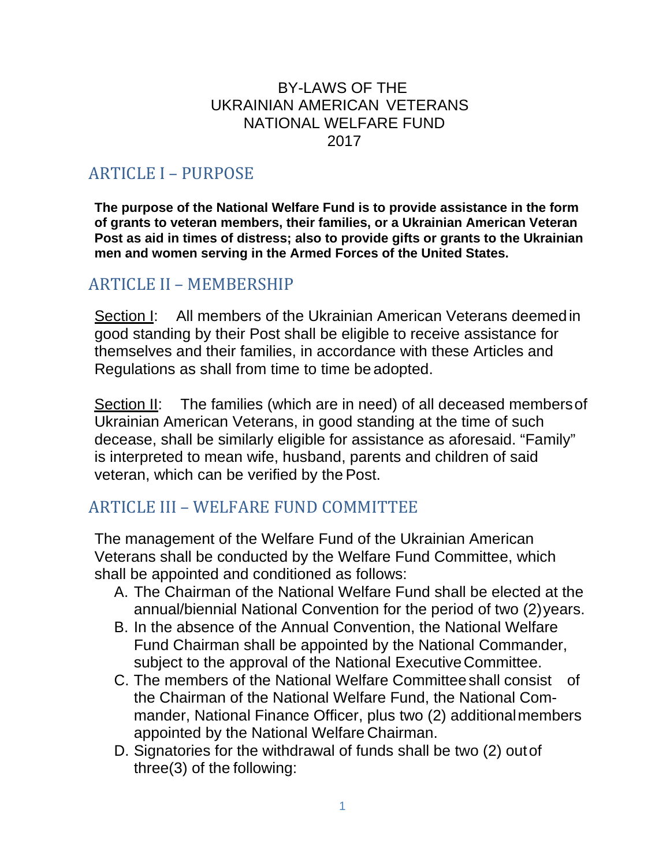#### BY-LAWS OF THE UKRAINIAN AMERICAN VETERANS NATIONAL WELFARE FUND 2017

# ARTICLE I – PURPOSE

**The purpose of the National Welfare Fund is to provide assistance in the form of grants to veteran members, their families, or a Ukrainian American Veteran Post as aid in times of distress; also to provide gifts or grants to the Ukrainian men and women serving in the Armed Forces of the United States.**

#### ARTICLE II – MEMBERSHIP

Section I: All members of the Ukrainian American Veterans deemedin good standing by their Post shall be eligible to receive assistance for themselves and their families, in accordance with these Articles and Regulations as shall from time to time be adopted.

Section II: The families (which are in need) of all deceased membersof Ukrainian American Veterans, in good standing at the time of such decease, shall be similarly eligible for assistance as aforesaid. "Family" is interpreted to mean wife, husband, parents and children of said veteran, which can be verified by the Post.

#### ARTICLE III – WELFARE FUND COMMITTEE

The management of the Welfare Fund of the Ukrainian American Veterans shall be conducted by the Welfare Fund Committee, which shall be appointed and conditioned as follows:

- A. The Chairman of the National Welfare Fund shall be elected at the annual/biennial National Convention for the period of two (2)years.
- B. In the absence of the Annual Convention, the National Welfare Fund Chairman shall be appointed by the National Commander, subject to the approval of the National ExecutiveCommittee.
- C. The members of the National Welfare Committeeshall consist of the Chairman of the National Welfare Fund, the National Commander, National Finance Officer, plus two (2) additionalmembers appointed by the National Welfare Chairman.
- D. Signatories for the withdrawal of funds shall be two (2) outof three(3) of the following: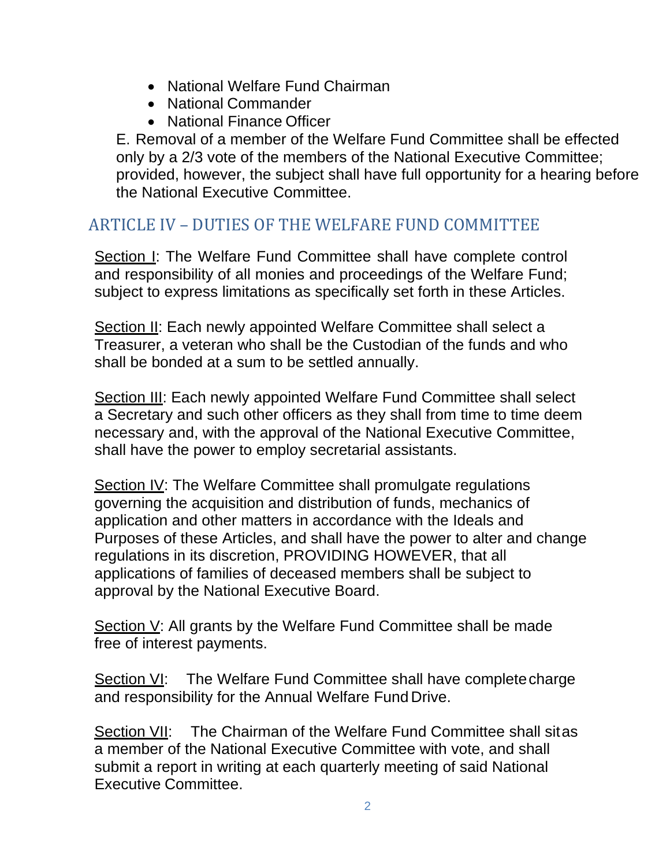- National Welfare Fund Chairman
- National Commander
- National Finance Officer

E. Removal of a member of the Welfare Fund Committee shall be effected only by a 2/3 vote of the members of the National Executive Committee; provided, however, the subject shall have full opportunity for a hearing before the National Executive Committee.

## ARTICLE IV – DUTIES OF THE WELFARE FUND COMMITTEE

Section I: The Welfare Fund Committee shall have complete control and responsibility of all monies and proceedings of the Welfare Fund; subject to express limitations as specifically set forth in these Articles.

Section II: Each newly appointed Welfare Committee shall select a Treasurer, a veteran who shall be the Custodian of the funds and who shall be bonded at a sum to be settled annually.

Section III: Each newly appointed Welfare Fund Committee shall select a Secretary and such other officers as they shall from time to time deem necessary and, with the approval of the National Executive Committee, shall have the power to employ secretarial assistants.

Section IV: The Welfare Committee shall promulgate regulations governing the acquisition and distribution of funds, mechanics of application and other matters in accordance with the Ideals and Purposes of these Articles, and shall have the power to alter and change regulations in its discretion, PROVIDING HOWEVER, that all applications of families of deceased members shall be subject to approval by the National Executive Board.

Section V: All grants by the Welfare Fund Committee shall be made free of interest payments.

Section VI: The Welfare Fund Committee shall have complete charge and responsibility for the Annual Welfare Fund Drive.

Section VII: The Chairman of the Welfare Fund Committee shall sitas a member of the National Executive Committee with vote, and shall submit a report in writing at each quarterly meeting of said National Executive Committee.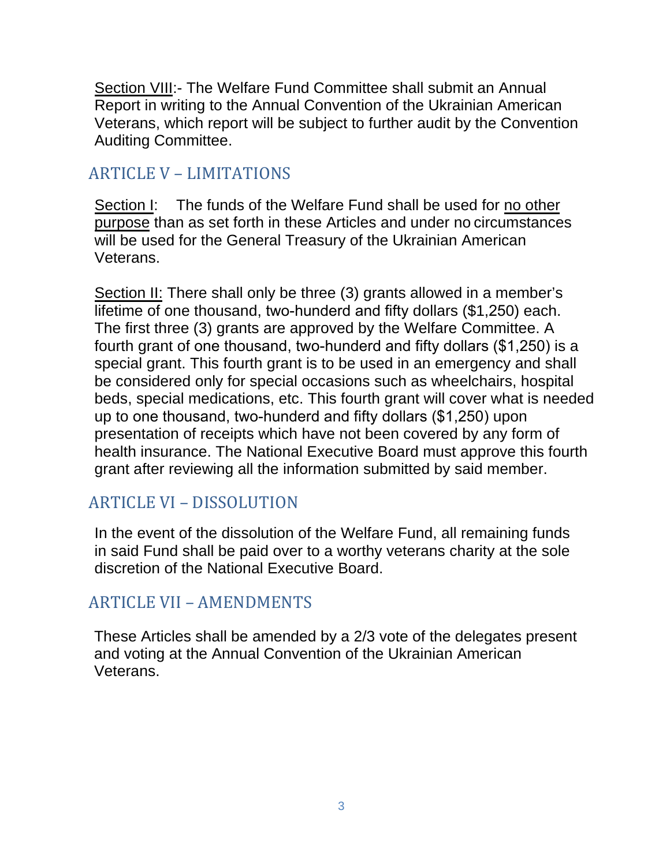Section VIII:- The Welfare Fund Committee shall submit an Annual Report in writing to the Annual Convention of the Ukrainian American Veterans, which report will be subject to further audit by the Convention Auditing Committee.

## ARTICLE V – LIMITATIONS

Section I: The funds of the Welfare Fund shall be used for no other purpose than as set forth in these Articles and under no circumstances will be used for the General Treasury of the Ukrainian American Veterans.

Section II: There shall only be three (3) grants allowed in a member's lifetime of one thousand, two-hunderd and fifty dollars (\$1,250) each. The first three (3) grants are approved by the Welfare Committee. A fourth grant of one thousand, two-hunderd and fifty dollars (\$1,250) is a special grant. This fourth grant is to be used in an emergency and shall be considered only for special occasions such as wheelchairs, hospital beds, special medications, etc. This fourth grant will cover what is needed up to one thousand, two-hunderd and fifty dollars (\$1,250) upon presentation of receipts which have not been covered by any form of health insurance. The National Executive Board must approve this fourth grant after reviewing all the information submitted by said member.

# ARTICLE VI – DISSOLUTION

In the event of the dissolution of the Welfare Fund, all remaining funds in said Fund shall be paid over to a worthy veterans charity at the sole discretion of the National Executive Board.

# ARTICLE VII – AMENDMENTS

These Articles shall be amended by a 2/3 vote of the delegates present and voting at the Annual Convention of the Ukrainian American Veterans.